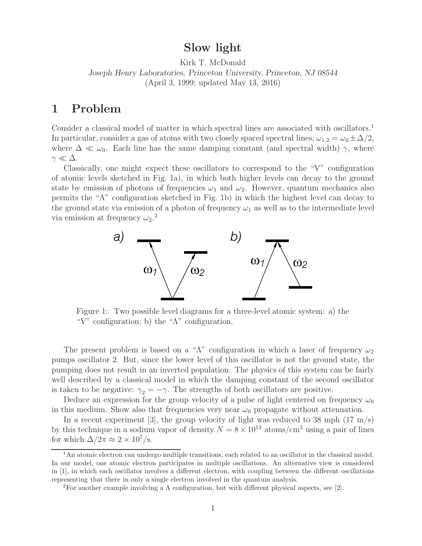**Slow light** Kirk T. McDonald

*Joseph Henry Laboratories, Princeton University, Princeton, NJ 08544* (April 3, 1999; updated May 13, 2016)

Consider a classical model of matter in which spectral lines are associated with oscillators.<sup>1</sup> In particular, consider a gas of atoms with two closely spaced spectral lines,  $\omega_{1,2} = \omega_0 \pm \Delta/2$ , where  $\Delta \ll \omega_0$ . Each line has the same damping constant (and spectral width)  $\gamma$ , where  $\gamma \ll \Delta$ .

Classically, one might expect these oscillators to correspond to the "V" configuration of atomic levels sketched in Fig. 1a), in which both higher levels can decay to the ground state by emission of photons of frequencies  $\omega_1$  and  $\omega_2$ . However, quantum mechanics also permits the "Λ" configuration sketched in Fig. 1b) in which the highest level can decay to the ground state via emission of a photon of frequency  $\omega_1$  as well as to the intermediate level via emission at frequency  $\omega_2$ .<sup>2</sup>



Figure 1: Two possible level diagrams for a three-level atomic system: a) the "V" configuration; b) the "Λ" configuration.

The present problem is based on a " $\Lambda$ " configuration in which a laser of frequency  $\omega_2$ pumps oscillator 2. But, since the lower level of this oscillator is not the ground state, the pumping does not result in an inverted population. The physics of this system can be fairly well described by a classical model in which the damping constant of the second oscillator is taken to be negative:  $\gamma_2 = -\gamma$ . The strengths of both oscillators are positive.

Deduce an expression for the group velocity of a pulse of light centered on frequency  $\omega_0$ in this medium. Show also that frequencies very near  $\omega_0$  propagate without attenuation.

In a recent experiment [3], the group velocity of light was reduced to 38 mph  $(17 \text{ m/s})$ by this technique in a sodium vapor of density  $N = 8 \times 10^{13}$  atoms/cm<sup>3</sup> using a pair of lines for which  $\Delta/2\pi \approx 2 \times 10^7$ /s.

 $1<sup>1</sup>$ An atomic electron can undergo multiple transitions, each related to an oscillator in the classical model. In our model, one atomic electron participates in multiple oscillations. An alternative view is considered in [1], in which each oscillator involves a different electron, with coupling between the different oscillations representing that there in only a single electron involved in the quantum analysis.

<sup>&</sup>lt;sup>2</sup>For another example involving a  $\Lambda$  configuration, but with different physical aspects, see [2].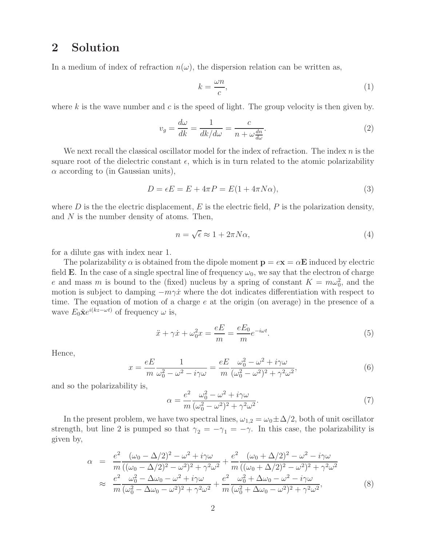## **2 Solution**

In a medium of index of refraction  $n(\omega)$ , the dispersion relation can be written as,

$$
k = \frac{\omega n}{c},\tag{1}
$$

where k is the wave number and c is the speed of light. The group velocity is then given by.

$$
v_g = \frac{d\omega}{dk} = \frac{1}{dk/d\omega} = \frac{c}{n + \omega \frac{dn}{d\omega}}.\tag{2}
$$

We next recall the classical oscillator model for the index of refraction. The index  $n$  is the square root of the dielectric constant  $\epsilon$ , which is in turn related to the atomic polarizability  $\alpha$  according to (in Gaussian units),

$$
D = \epsilon E = E + 4\pi P = E(1 + 4\pi N\alpha),\tag{3}
$$

where  $D$  is the electric displacement,  $E$  is the electric field,  $P$  is the polarization density, and N is the number density of atoms. Then,

$$
n = \sqrt{\epsilon} \approx 1 + 2\pi N \alpha,\tag{4}
$$

for a dilute gas with index near 1.

The polarizability  $\alpha$  is obtained from the dipole moment  $\mathbf{p} = e\mathbf{x} = \alpha \mathbf{E}$  induced by electric field **E**. In the case of a single spectral line of frequency  $\omega_0$ , we say that the electron of charge e and mass m is bound to the (fixed) nucleus by a spring of constant  $K = m\omega_0^2$ , and the motion is subject to damping  $-m\gamma\dot{x}$  where the dot indicates differentiation with respect to time. The equation of motion of a charge e at the origin (on average) in the presence of a wave  $E_0 \hat{\mathbf{x}} e^{i(kz-\omega t)}$  of frequency  $\omega$  is,

$$
\ddot{x} + \gamma \dot{x} + \omega_0^2 x = \frac{eE}{m} = \frac{eE_0}{m} e^{-i\omega t}.
$$
\n(5)

Hence,

$$
x = \frac{eE}{m} \frac{1}{\omega_0^2 - \omega^2 - i\gamma\omega} = \frac{eE}{m} \frac{\omega_0^2 - \omega^2 + i\gamma\omega}{(\omega_0^2 - \omega^2)^2 + \gamma^2\omega^2},\tag{6}
$$

and so the polarizability is,

$$
\alpha = \frac{e^2}{m} \frac{\omega_0^2 - \omega^2 + i\gamma\omega}{(\omega_0^2 - \omega^2)^2 + \gamma^2\omega^2}.
$$
\n<sup>(7)</sup>

In the present problem, we have two spectral lines,  $\omega_{1,2} = \omega_0 \pm \Delta/2$ , both of unit oscillator strength, but line 2 is pumped so that  $\gamma_2 = -\gamma_1 = -\gamma$ . In this case, the polarizability is given by,

$$
\alpha = \frac{e^2}{m} \frac{(\omega_0 - \Delta/2)^2 - \omega^2 + i\gamma\omega}{((\omega_0 - \Delta/2)^2 - \omega^2)^2 + \gamma^2\omega^2} + \frac{e^2}{m} \frac{(\omega_0 + \Delta/2)^2 - \omega^2 - i\gamma\omega}{((\omega_0 + \Delta/2)^2 - \omega^2)^2 + \gamma^2\omega^2} \n\approx \frac{e^2}{m} \frac{\omega_0^2 - \Delta\omega_0 - \omega^2 + i\gamma\omega}{(\omega_0^2 - \Delta\omega_0 - \omega^2)^2 + \gamma^2\omega^2} + \frac{e^2}{m} \frac{\omega_0^2 + \Delta\omega_0 - \omega^2 - i\gamma\omega}{(\omega_0^2 + \Delta\omega_0 - \omega^2)^2 + \gamma^2\omega^2},
$$
\n(8)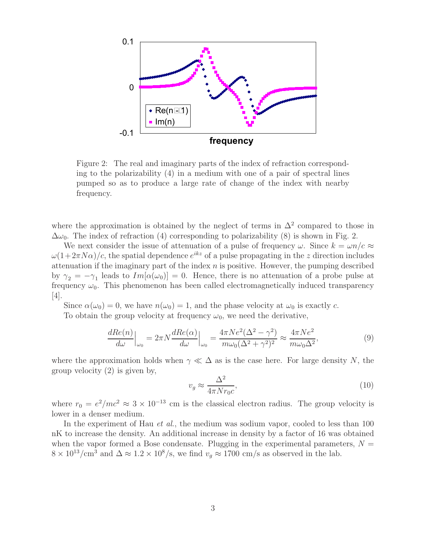

Figure 2: The real and imaginary parts of the index of refraction corresponding to the polarizability (4) in a medium with one of a pair of spectral lines pumped so as to produce a large rate of change of the index with nearby frequency.

where the approximation is obtained by the neglect of terms in  $\Delta^2$  compared to those in  $\Delta\omega_0$ . The index of refraction (4) corresponding to polarizability (8) is shown in Fig. 2.

We next consider the issue of attenuation of a pulse of frequency  $\omega$ . Since  $k = \omega n/c \approx$  $\omega(1+2\pi N\alpha)/c$ , the spatial dependence  $e^{ikz}$  of a pulse propagating in the z direction includes attenuation if the imaginary part of the index  $n$  is positive. However, the pumping described by  $\gamma_2 = -\gamma_1$  leads to  $Im[\alpha(\omega_0)] = 0$ . Hence, there is no attenuation of a probe pulse at frequency  $\omega_0$ . This phenomenon has been called electromagnetically induced transparency [4].

Since  $\alpha(\omega_0) = 0$ , we have  $n(\omega_0) = 1$ , and the phase velocity at  $\omega_0$  is exactly c.

To obtain the group velocity at frequency  $\omega_0$ , we need the derivative,

$$
\frac{dRe(n)}{d\omega}\Big|_{\omega_0} = 2\pi N \frac{dRe(\alpha)}{d\omega}\Big|_{\omega_0} = \frac{4\pi Ne^2(\Delta^2 - \gamma^2)}{m\omega_0(\Delta^2 + \gamma^2)^2} \approx \frac{4\pi Ne^2}{m\omega_0\Delta^2},\tag{9}
$$

where the approximation holds when  $\gamma \ll \Delta$  as is the case here. For large density N, the group velocity (2) is given by,

$$
v_g \approx \frac{\Delta^2}{4\pi N r_0 c},\tag{10}
$$

where  $r_0 = e^2/mc^2 \approx 3 \times 10^{-13}$  cm is the classical electron radius. The group velocity is lower in a denser medium.

In the experiment of Hau *et al.*, the medium was sodium vapor, cooled to less than 100 nK to increase the density. An additional increase in density by a factor of 16 was obtained when the vapor formed a Bose condensate. Plugging in the experimental parameters,  $N =$  $8 \times 10^{13}/\text{cm}^3$  and  $\Delta \approx 1.2 \times 10^8/\text{s}$ , we find  $v_g \approx 1700 \text{ cm/s}$  as observed in the lab.